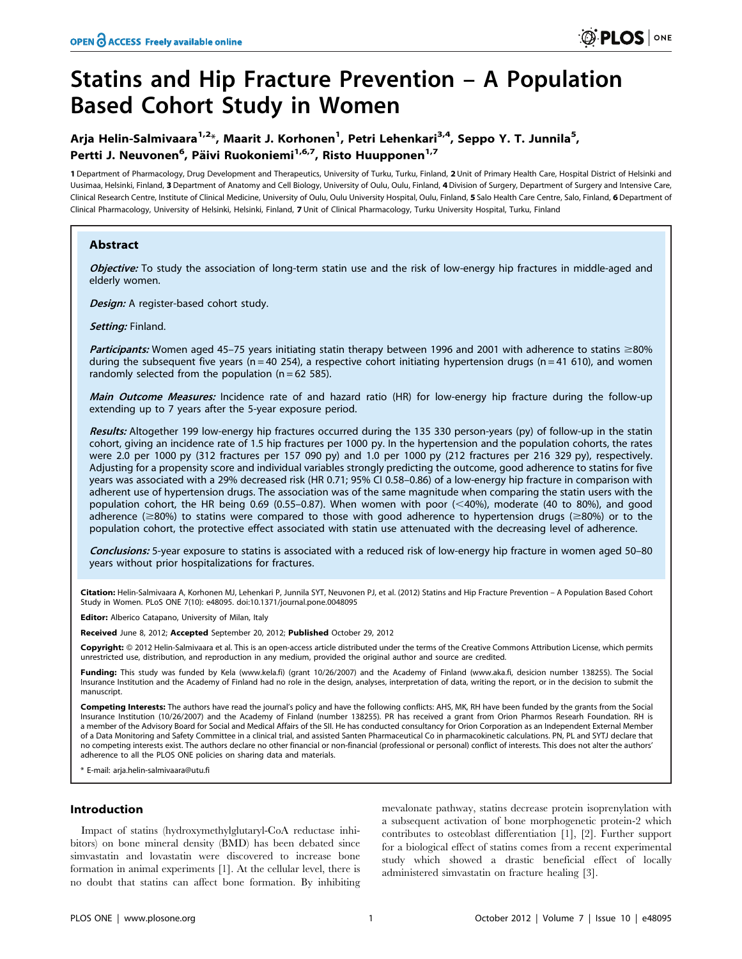# Statins and Hip Fracture Prevention – A Population Based Cohort Study in Women

# Arja Helin-Salmivaara<sup>1,2</sup>\*, Maarit J. Korhonen<sup>1</sup>, Petri Lehenkari<sup>3,4</sup>, Seppo Y. T. Junnila<sup>5</sup>, Pertti J. Neuvonen<sup>6</sup>, Päivi Ruokoniemi<sup>1,6,7</sup>, Risto Huupponen<sup>1,7</sup>

1 Department of Pharmacology, Drug Development and Therapeutics, University of Turku, Turku, Finland, 2 Unit of Primary Health Care, Hospital District of Helsinki and Uusimaa, Helsinki, Finland, 3 Department of Anatomy and Cell Biology, University of Oulu, Oulu, Finland, 4 Division of Surgery, Department of Surgery and Intensive Care, Clinical Research Centre, Institute of Clinical Medicine, University of Oulu, Oulu University Hospital, Oulu, Finland, 5 Salo Health Care Centre, Salo, Finland, 6 Department of Clinical Pharmacology, University of Helsinki, Helsinki, Finland, 7 Unit of Clinical Pharmacology, Turku University Hospital, Turku, Finland

# Abstract

Objective: To study the association of long-term statin use and the risk of low-energy hip fractures in middle-aged and elderly women.

Design: A register-based cohort study.

Settina: Finland.

Participants: Women aged 45-75 years initiating statin therapy between 1996 and 2001 with adherence to statins ≥80% during the subsequent five years (n = 40 254), a respective cohort initiating hypertension drugs (n = 41 610), and women randomly selected from the population  $(n = 62585)$ .

Main Outcome Measures: Incidence rate of and hazard ratio (HR) for low-energy hip fracture during the follow-up extending up to 7 years after the 5-year exposure period.

Results: Altogether 199 low-energy hip fractures occurred during the 135 330 person-years (py) of follow-up in the statin cohort, giving an incidence rate of 1.5 hip fractures per 1000 py. In the hypertension and the population cohorts, the rates were 2.0 per 1000 py (312 fractures per 157 090 py) and 1.0 per 1000 py (212 fractures per 216 329 py), respectively. Adjusting for a propensity score and individual variables strongly predicting the outcome, good adherence to statins for five years was associated with a 29% decreased risk (HR 0.71; 95% CI 0.58–0.86) of a low-energy hip fracture in comparison with adherent use of hypertension drugs. The association was of the same magnitude when comparing the statin users with the population cohort, the HR being 0.69 (0.55–0.87). When women with poor  $\ll$  40%), moderate (40 to 80%), and good adherence ( $\geq$ 80%) to statins were compared to those with good adherence to hypertension drugs ( $\geq$ 80%) or to the population cohort, the protective effect associated with statin use attenuated with the decreasing level of adherence.

Conclusions: 5-year exposure to statins is associated with a reduced risk of low-energy hip fracture in women aged 50-80 years without prior hospitalizations for fractures.

Citation: Helin-Salmivaara A, Korhonen MJ, Lehenkari P, Junnila SYT, Neuvonen PJ, et al. (2012) Statins and Hip Fracture Prevention - A Population Based Cohort Study in Women. PLoS ONE 7(10): e48095. doi:10.1371/journal.pone.0048095

**Editor:** Alberico Catapano, University of Milan, Italy

Received June 8, 2012; Accepted September 20, 2012; Published October 29, 2012

Copyright: @ 2012 Helin-Salmivaara et al. This is an open-access article distributed under the terms of the Creative Commons Attribution License, which permits unrestricted use, distribution, and reproduction in any medium, provided the original author and source are credited.

Funding: This study was funded by Kela (www.kela.fi) (grant 10/26/2007) and the Academy of Finland (www.aka.fi, desicion number 138255). The Social Insurance Institution and the Academy of Finland had no role in the design, analyses, interpretation of data, writing the report, or in the decision to submit the manuscript.

Competing Interests: The authors have read the journal's policy and have the following conflicts: AHS, MK, RH have been funded by the grants from the Social Insurance Institution (10/26/2007) and the Academy of Finland (number 138255). PR has received a grant from Orion Pharmos Researh Foundation. RH is a member of the Advisory Board for Social and Medical Affairs of the SII. He has conducted consultancy for Orion Corporation as an Independent External Member of a Data Monitoring and Safety Committee in a clinical trial, and assisted Santen Pharmaceutical Co in pharmacokinetic calculations. PN, PL and SYTJ declare that no competing interests exist. The authors declare no other financial or non-financial (professional or personal) conflict of interests. This does not alter the authors' adherence to all the PLOS ONE policies on sharing data and materials.

\* E-mail: arja.helin-salmivaara@utu.fi

# Introduction

Impact of statins (hydroxymethylglutaryl-CoA reductase inhibitors) on bone mineral density (BMD) has been debated since simvastatin and lovastatin were discovered to increase bone formation in animal experiments [1]. At the cellular level, there is no doubt that statins can affect bone formation. By inhibiting mevalonate pathway, statins decrease protein isoprenylation with a subsequent activation of bone morphogenetic protein-2 which contributes to osteoblast differentiation [1], [2]. Further support for a biological effect of statins comes from a recent experimental study which showed a drastic beneficial effect of locally administered simvastatin on fracture healing [3].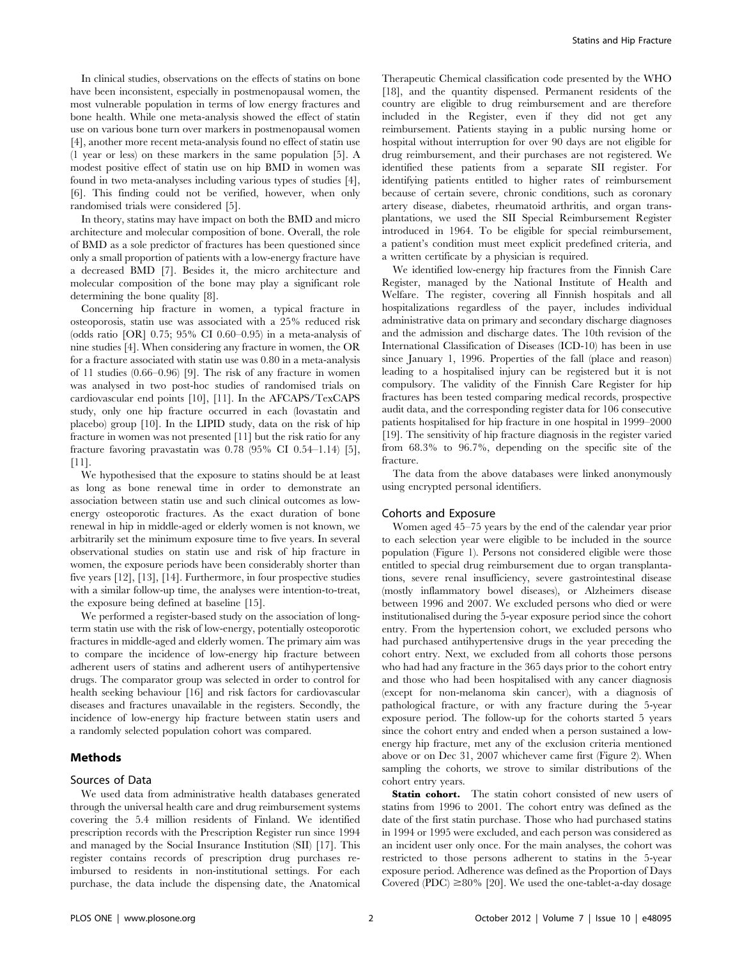In clinical studies, observations on the effects of statins on bone have been inconsistent, especially in postmenopausal women, the most vulnerable population in terms of low energy fractures and bone health. While one meta-analysis showed the effect of statin use on various bone turn over markers in postmenopausal women [4], another more recent meta-analysis found no effect of statin use (1 year or less) on these markers in the same population [5]. A modest positive effect of statin use on hip BMD in women was found in two meta-analyses including various types of studies [4], [6]. This finding could not be verified, however, when only randomised trials were considered [5].

In theory, statins may have impact on both the BMD and micro architecture and molecular composition of bone. Overall, the role of BMD as a sole predictor of fractures has been questioned since only a small proportion of patients with a low-energy fracture have a decreased BMD [7]. Besides it, the micro architecture and molecular composition of the bone may play a significant role determining the bone quality [8].

Concerning hip fracture in women, a typical fracture in osteoporosis, statin use was associated with a 25% reduced risk (odds ratio [OR] 0.75; 95% CI 0.60–0.95) in a meta-analysis of nine studies [4]. When considering any fracture in women, the OR for a fracture associated with statin use was 0.80 in a meta-analysis of 11 studies (0.66–0.96) [9]. The risk of any fracture in women was analysed in two post-hoc studies of randomised trials on cardiovascular end points [10], [11]. In the AFCAPS/TexCAPS study, only one hip fracture occurred in each (lovastatin and placebo) group [10]. In the LIPID study, data on the risk of hip fracture in women was not presented [11] but the risk ratio for any fracture favoring pravastatin was 0.78 (95% CI 0.54–1.14) [5],  $[11]$ .

We hypothesised that the exposure to statins should be at least as long as bone renewal time in order to demonstrate an association between statin use and such clinical outcomes as lowenergy osteoporotic fractures. As the exact duration of bone renewal in hip in middle-aged or elderly women is not known, we arbitrarily set the minimum exposure time to five years. In several observational studies on statin use and risk of hip fracture in women, the exposure periods have been considerably shorter than five years [12], [13], [14]. Furthermore, in four prospective studies with a similar follow-up time, the analyses were intention-to-treat, the exposure being defined at baseline [15].

We performed a register-based study on the association of longterm statin use with the risk of low-energy, potentially osteoporotic fractures in middle-aged and elderly women. The primary aim was to compare the incidence of low-energy hip fracture between adherent users of statins and adherent users of antihypertensive drugs. The comparator group was selected in order to control for health seeking behaviour [16] and risk factors for cardiovascular diseases and fractures unavailable in the registers. Secondly, the incidence of low-energy hip fracture between statin users and a randomly selected population cohort was compared.

# Methods

## Sources of Data

We used data from administrative health databases generated through the universal health care and drug reimbursement systems covering the 5.4 million residents of Finland. We identified prescription records with the Prescription Register run since 1994 and managed by the Social Insurance Institution (SII) [17]. This register contains records of prescription drug purchases reimbursed to residents in non-institutional settings. For each purchase, the data include the dispensing date, the Anatomical Therapeutic Chemical classification code presented by the WHO [18], and the quantity dispensed. Permanent residents of the country are eligible to drug reimbursement and are therefore included in the Register, even if they did not get any reimbursement. Patients staying in a public nursing home or hospital without interruption for over 90 days are not eligible for drug reimbursement, and their purchases are not registered. We identified these patients from a separate SII register. For identifying patients entitled to higher rates of reimbursement because of certain severe, chronic conditions, such as coronary artery disease, diabetes, rheumatoid arthritis, and organ transplantations, we used the SII Special Reimbursement Register introduced in 1964. To be eligible for special reimbursement, a patient's condition must meet explicit predefined criteria, and a written certificate by a physician is required.

We identified low-energy hip fractures from the Finnish Care Register, managed by the National Institute of Health and Welfare. The register, covering all Finnish hospitals and all hospitalizations regardless of the payer, includes individual administrative data on primary and secondary discharge diagnoses and the admission and discharge dates. The 10th revision of the International Classification of Diseases (ICD-10) has been in use since January 1, 1996. Properties of the fall (place and reason) leading to a hospitalised injury can be registered but it is not compulsory. The validity of the Finnish Care Register for hip fractures has been tested comparing medical records, prospective audit data, and the corresponding register data for 106 consecutive patients hospitalised for hip fracture in one hospital in 1999–2000 [19]. The sensitivity of hip fracture diagnosis in the register varied from 68.3% to 96.7%, depending on the specific site of the fracture.

The data from the above databases were linked anonymously using encrypted personal identifiers.

#### Cohorts and Exposure

Women aged 45–75 years by the end of the calendar year prior to each selection year were eligible to be included in the source population (Figure 1). Persons not considered eligible were those entitled to special drug reimbursement due to organ transplantations, severe renal insufficiency, severe gastrointestinal disease (mostly inflammatory bowel diseases), or Alzheimers disease between 1996 and 2007. We excluded persons who died or were institutionalised during the 5-year exposure period since the cohort entry. From the hypertension cohort, we excluded persons who had purchased antihypertensive drugs in the year preceding the cohort entry. Next, we excluded from all cohorts those persons who had had any fracture in the 365 days prior to the cohort entry and those who had been hospitalised with any cancer diagnosis (except for non-melanoma skin cancer), with a diagnosis of pathological fracture, or with any fracture during the 5-year exposure period. The follow-up for the cohorts started 5 years since the cohort entry and ended when a person sustained a lowenergy hip fracture, met any of the exclusion criteria mentioned above or on Dec 31, 2007 whichever came first (Figure 2). When sampling the cohorts, we strove to similar distributions of the cohort entry years.

Statin cohort. The statin cohort consisted of new users of statins from 1996 to 2001. The cohort entry was defined as the date of the first statin purchase. Those who had purchased statins in 1994 or 1995 were excluded, and each person was considered as an incident user only once. For the main analyses, the cohort was restricted to those persons adherent to statins in the 5-year exposure period. Adherence was defined as the Proportion of Days Covered (PDC)  $\geq 80\%$  [20]. We used the one-tablet-a-day dosage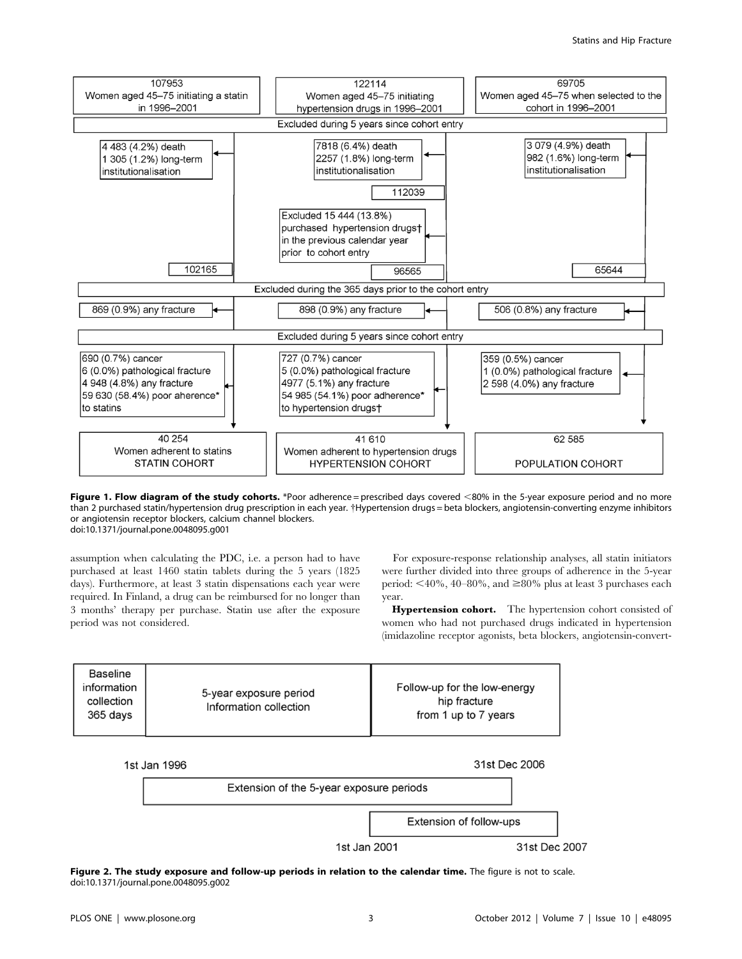

Figure 1. Flow diagram of the study cohorts. \*Poor adherence = prescribed days covered  $<80\%$  in the 5-year exposure period and no more than 2 purchased statin/hypertension drug prescription in each year. {Hypertension drugs = beta blockers, angiotensin-converting enzyme inhibitors or angiotensin receptor blockers, calcium channel blockers. doi:10.1371/journal.pone.0048095.g001

assumption when calculating the PDC, i.e. a person had to have purchased at least 1460 statin tablets during the 5 years (1825 days). Furthermore, at least 3 statin dispensations each year were required. In Finland, a drug can be reimbursed for no longer than 3 months' therapy per purchase. Statin use after the exposure period was not considered.

For exposure-response relationship analyses, all statin initiators were further divided into three groups of adherence in the 5-year period:  $\leq 40\%$ ,  $40-80\%$ , and  $\geq 80\%$  plus at least 3 purchases each year.

Hypertension cohort. The hypertension cohort consisted of women who had not purchased drugs indicated in hypertension (imidazoline receptor agonists, beta blockers, angiotensin-convert-

| Baseline<br>information<br>collection<br>365 days | 5-year exposure period<br>Information collection | Follow-up for the low-energy<br>hip fracture<br>from 1 up to 7 years |
|---------------------------------------------------|--------------------------------------------------|----------------------------------------------------------------------|
|---------------------------------------------------|--------------------------------------------------|----------------------------------------------------------------------|



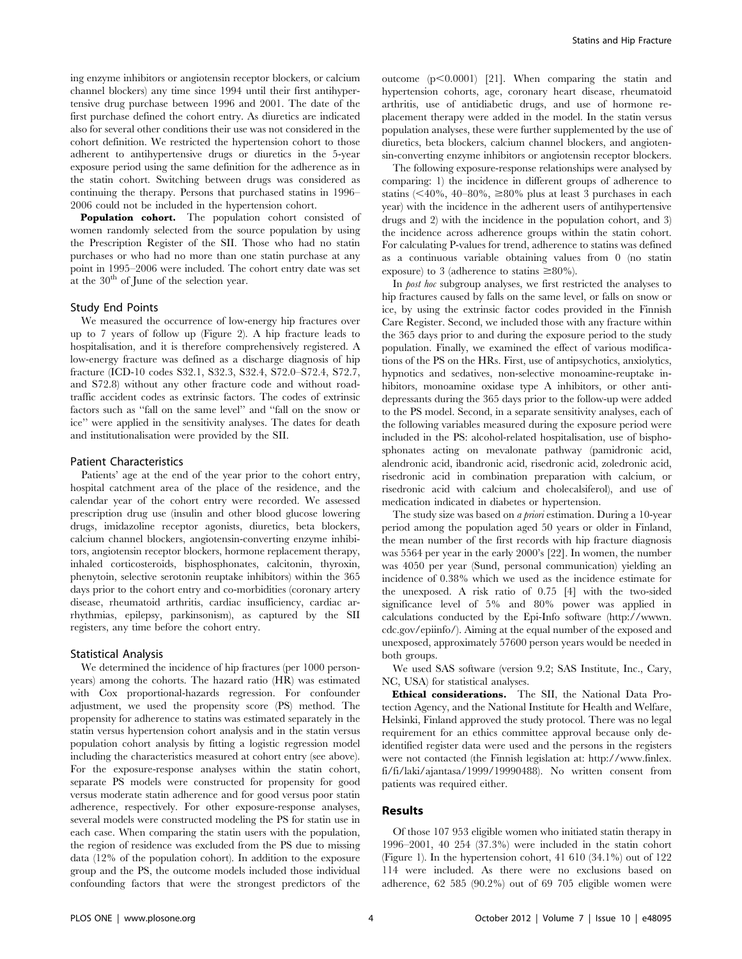ing enzyme inhibitors or angiotensin receptor blockers, or calcium channel blockers) any time since 1994 until their first antihypertensive drug purchase between 1996 and 2001. The date of the first purchase defined the cohort entry. As diuretics are indicated also for several other conditions their use was not considered in the cohort definition. We restricted the hypertension cohort to those adherent to antihypertensive drugs or diuretics in the 5-year exposure period using the same definition for the adherence as in the statin cohort. Switching between drugs was considered as continuing the therapy. Persons that purchased statins in 1996– 2006 could not be included in the hypertension cohort.

Population cohort. The population cohort consisted of women randomly selected from the source population by using the Prescription Register of the SII. Those who had no statin purchases or who had no more than one statin purchase at any point in 1995–2006 were included. The cohort entry date was set at the  $30<sup>th</sup>$  of June of the selection year.

# Study End Points

We measured the occurrence of low-energy hip fractures over up to 7 years of follow up (Figure 2). A hip fracture leads to hospitalisation, and it is therefore comprehensively registered. A low-energy fracture was defined as a discharge diagnosis of hip fracture (ICD-10 codes S32.1, S32.3, S32.4, S72.0–S72.4, S72.7, and S72.8) without any other fracture code and without roadtraffic accident codes as extrinsic factors. The codes of extrinsic factors such as ''fall on the same level'' and ''fall on the snow or ice'' were applied in the sensitivity analyses. The dates for death and institutionalisation were provided by the SII.

#### Patient Characteristics

Patients' age at the end of the year prior to the cohort entry, hospital catchment area of the place of the residence, and the calendar year of the cohort entry were recorded. We assessed prescription drug use (insulin and other blood glucose lowering drugs, imidazoline receptor agonists, diuretics, beta blockers, calcium channel blockers, angiotensin-converting enzyme inhibitors, angiotensin receptor blockers, hormone replacement therapy, inhaled corticosteroids, bisphosphonates, calcitonin, thyroxin, phenytoin, selective serotonin reuptake inhibitors) within the 365 days prior to the cohort entry and co-morbidities (coronary artery disease, rheumatoid arthritis, cardiac insufficiency, cardiac arrhythmias, epilepsy, parkinsonism), as captured by the SII registers, any time before the cohort entry.

#### Statistical Analysis

We determined the incidence of hip fractures (per 1000 personyears) among the cohorts. The hazard ratio (HR) was estimated with Cox proportional-hazards regression. For confounder adjustment, we used the propensity score (PS) method. The propensity for adherence to statins was estimated separately in the statin versus hypertension cohort analysis and in the statin versus population cohort analysis by fitting a logistic regression model including the characteristics measured at cohort entry (see above). For the exposure-response analyses within the statin cohort, separate PS models were constructed for propensity for good versus moderate statin adherence and for good versus poor statin adherence, respectively. For other exposure-response analyses, several models were constructed modeling the PS for statin use in each case. When comparing the statin users with the population, the region of residence was excluded from the PS due to missing data (12% of the population cohort). In addition to the exposure group and the PS, the outcome models included those individual confounding factors that were the strongest predictors of the

outcome  $(p<0.0001)$  [21]. When comparing the statin and hypertension cohorts, age, coronary heart disease, rheumatoid arthritis, use of antidiabetic drugs, and use of hormone replacement therapy were added in the model. In the statin versus population analyses, these were further supplemented by the use of diuretics, beta blockers, calcium channel blockers, and angiotensin-converting enzyme inhibitors or angiotensin receptor blockers.

The following exposure-response relationships were analysed by comparing: 1) the incidence in different groups of adherence to statins ( $\leq 40\%$ ,  $40-80\%$ ,  $\geq 80\%$  plus at least 3 purchases in each year) with the incidence in the adherent users of antihypertensive drugs and 2) with the incidence in the population cohort, and 3) the incidence across adherence groups within the statin cohort. For calculating P-values for trend, adherence to statins was defined as a continuous variable obtaining values from 0 (no statin exposure) to 3 (adherence to statins  $\geq 80\%$ ).

In post hoc subgroup analyses, we first restricted the analyses to hip fractures caused by falls on the same level, or falls on snow or ice, by using the extrinsic factor codes provided in the Finnish Care Register. Second, we included those with any fracture within the 365 days prior to and during the exposure period to the study population. Finally, we examined the effect of various modifications of the PS on the HRs. First, use of antipsychotics, anxiolytics, hypnotics and sedatives, non-selective monoamine-reuptake inhibitors, monoamine oxidase type A inhibitors, or other antidepressants during the 365 days prior to the follow-up were added to the PS model. Second, in a separate sensitivity analyses, each of the following variables measured during the exposure period were included in the PS: alcohol-related hospitalisation, use of bisphosphonates acting on mevalonate pathway (pamidronic acid, alendronic acid, ibandronic acid, risedronic acid, zoledronic acid, risedronic acid in combination preparation with calcium, or risedronic acid with calcium and cholecalsiferol), and use of medication indicated in diabetes or hypertension.

The study size was based on *a priori* estimation. During a 10-year period among the population aged 50 years or older in Finland, the mean number of the first records with hip fracture diagnosis was 5564 per year in the early 2000's [22]. In women, the number was 4050 per year (Sund, personal communication) yielding an incidence of 0.38% which we used as the incidence estimate for the unexposed. A risk ratio of 0.75 [4] with the two-sided significance level of 5% and 80% power was applied in calculations conducted by the Epi-Info software (http://wwwn. cdc.gov/epiinfo/). Aiming at the equal number of the exposed and unexposed, approximately 57600 person years would be needed in both groups.

We used SAS software (version 9.2; SAS Institute, Inc., Cary, NC, USA) for statistical analyses.

Ethical considerations. The SII, the National Data Protection Agency, and the National Institute for Health and Welfare, Helsinki, Finland approved the study protocol. There was no legal requirement for an ethics committee approval because only deidentified register data were used and the persons in the registers were not contacted (the Finnish legislation at: http://www.finlex. fi/fi/laki/ajantasa/1999/19990488). No written consent from patients was required either.

# Results

Of those 107 953 eligible women who initiated statin therapy in 1996–2001, 40 254 (37.3%) were included in the statin cohort (Figure 1). In the hypertension cohort, 41 610 (34.1%) out of 122 114 were included. As there were no exclusions based on adherence, 62 585 (90.2%) out of 69 705 eligible women were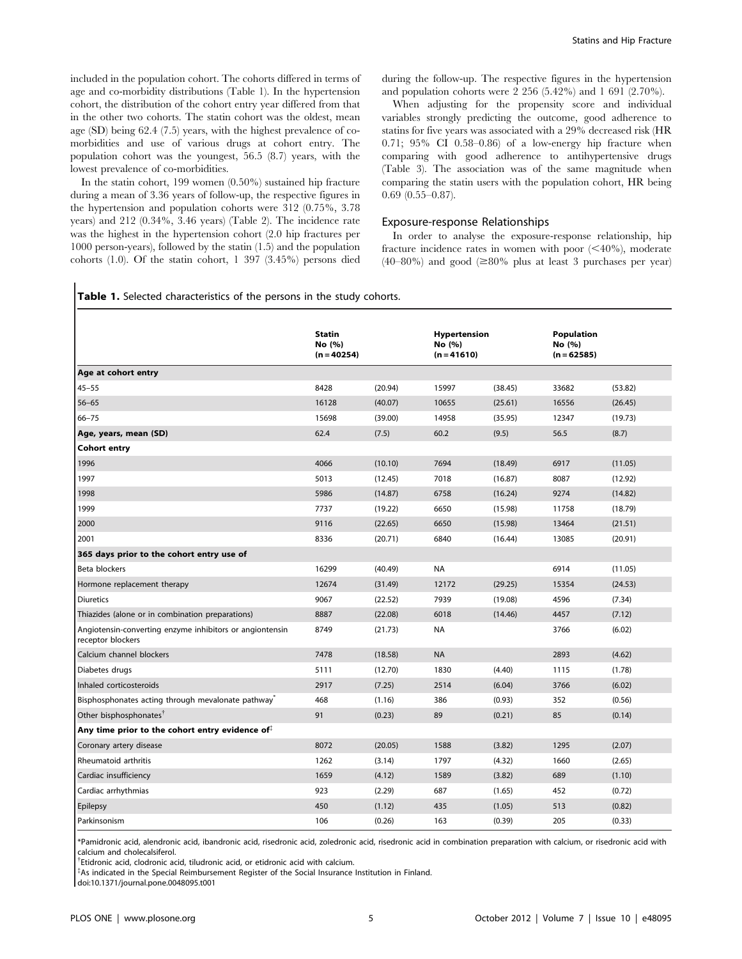included in the population cohort. The cohorts differed in terms of age and co-morbidity distributions (Table 1). In the hypertension cohort, the distribution of the cohort entry year differed from that in the other two cohorts. The statin cohort was the oldest, mean age (SD) being 62.4 (7.5) years, with the highest prevalence of comorbidities and use of various drugs at cohort entry. The population cohort was the youngest, 56.5 (8.7) years, with the lowest prevalence of co-morbidities.

In the statin cohort, 199 women (0.50%) sustained hip fracture during a mean of 3.36 years of follow-up, the respective figures in the hypertension and population cohorts were 312 (0.75%, 3.78 years) and 212 (0.34%, 3.46 years) (Table 2). The incidence rate was the highest in the hypertension cohort (2.0 hip fractures per 1000 person-years), followed by the statin (1.5) and the population cohorts (1.0). Of the statin cohort, 1 397 (3.45%) persons died during the follow-up. The respective figures in the hypertension and population cohorts were 2 256 (5.42%) and 1 691 (2.70%).

When adjusting for the propensity score and individual variables strongly predicting the outcome, good adherence to statins for five years was associated with a 29% decreased risk (HR 0.71; 95% CI 0.58–0.86) of a low-energy hip fracture when comparing with good adherence to antihypertensive drugs (Table 3). The association was of the same magnitude when comparing the statin users with the population cohort, HR being 0.69 (0.55–0.87).

#### Exposure-response Relationships

In order to analyse the exposure-response relationship, hip fracture incidence rates in women with poor  $(< 40\%$ ), moderate  $(40-80\%)$  and good  $(\geq 80\%$  plus at least 3 purchases per year)

| <b>Table 1.</b> Selected characteristics of the persons in the study cohorts. |  |
|-------------------------------------------------------------------------------|--|
|-------------------------------------------------------------------------------|--|

|                                                                               | <b>Statin</b><br>No (%)<br>$(n = 40254)$ |         | Hypertension<br>No (%)<br>$(n = 41610)$ |         | <b>Population</b><br>No (%)<br>$(n = 62585)$ |         |
|-------------------------------------------------------------------------------|------------------------------------------|---------|-----------------------------------------|---------|----------------------------------------------|---------|
| Age at cohort entry                                                           |                                          |         |                                         |         |                                              |         |
| $45 - 55$                                                                     | 8428                                     | (20.94) | 15997                                   | (38.45) | 33682                                        | (53.82) |
| $56 - 65$                                                                     | 16128                                    | (40.07) | 10655                                   | (25.61) | 16556                                        | (26.45) |
| $66 - 75$                                                                     | 15698                                    | (39.00) | 14958                                   | (35.95) | 12347                                        | (19.73) |
| Age, years, mean (SD)                                                         | 62.4                                     | (7.5)   | 60.2                                    | (9.5)   | 56.5                                         | (8.7)   |
| <b>Cohort entry</b>                                                           |                                          |         |                                         |         |                                              |         |
| 1996                                                                          | 4066                                     | (10.10) | 7694                                    | (18.49) | 6917                                         | (11.05) |
| 1997                                                                          | 5013                                     | (12.45) | 7018                                    | (16.87) | 8087                                         | (12.92) |
| 1998                                                                          | 5986                                     | (14.87) | 6758                                    | (16.24) | 9274                                         | (14.82) |
| 1999                                                                          | 7737                                     | (19.22) | 6650                                    | (15.98) | 11758                                        | (18.79) |
| 2000                                                                          | 9116                                     | (22.65) | 6650                                    | (15.98) | 13464                                        | (21.51) |
| 2001                                                                          | 8336                                     | (20.71) | 6840                                    | (16.44) | 13085                                        | (20.91) |
| 365 days prior to the cohort entry use of                                     |                                          |         |                                         |         |                                              |         |
| Beta blockers                                                                 | 16299                                    | (40.49) | <b>NA</b>                               |         | 6914                                         | (11.05) |
| Hormone replacement therapy                                                   | 12674                                    | (31.49) | 12172                                   | (29.25) | 15354                                        | (24.53) |
| <b>Diuretics</b>                                                              | 9067                                     | (22.52) | 7939                                    | (19.08) | 4596                                         | (7.34)  |
| Thiazides (alone or in combination preparations)                              | 8887                                     | (22.08) | 6018                                    | (14.46) | 4457                                         | (7.12)  |
| Angiotensin-converting enzyme inhibitors or angiontensin<br>receptor blockers | 8749                                     | (21.73) | <b>NA</b>                               |         | 3766                                         | (6.02)  |
| Calcium channel blockers                                                      | 7478                                     | (18.58) | <b>NA</b>                               |         | 2893                                         | (4.62)  |
| Diabetes drugs                                                                | 5111                                     | (12.70) | 1830                                    | (4.40)  | 1115                                         | (1.78)  |
| Inhaled corticosteroids                                                       | 2917                                     | (7.25)  | 2514                                    | (6.04)  | 3766                                         | (6.02)  |
| Bisphosphonates acting through mevalonate pathway <sup>®</sup>                | 468                                      | (1.16)  | 386                                     | (0.93)  | 352                                          | (0.56)  |
| Other bisphosphonates <sup>†</sup>                                            | 91                                       | (0.23)  | 89                                      | (0.21)  | 85                                           | (0.14)  |
| Any time prior to the cohort entry evidence of $\ddot{\theta}$                |                                          |         |                                         |         |                                              |         |
| Coronary artery disease                                                       | 8072                                     | (20.05) | 1588                                    | (3.82)  | 1295                                         | (2.07)  |
| Rheumatoid arthritis                                                          | 1262                                     | (3.14)  | 1797                                    | (4.32)  | 1660                                         | (2.65)  |
| Cardiac insufficiency                                                         | 1659                                     | (4.12)  | 1589                                    | (3.82)  | 689                                          | (1.10)  |
| Cardiac arrhythmias                                                           | 923                                      | (2.29)  | 687                                     | (1.65)  | 452                                          | (0.72)  |
| Epilepsy                                                                      | 450                                      | (1.12)  | 435                                     | (1.05)  | 513                                          | (0.82)  |
| Parkinsonism                                                                  | 106                                      | (0.26)  | 163                                     | (0.39)  | 205                                          | (0.33)  |

\*Pamidronic acid, alendronic acid, ibandronic acid, risedronic acid, zoledronic acid, risedronic acid in combination preparation with calcium, or risedronic acid with calcium and cholecalsiferol.

<sup>†</sup>Etidronic acid, clodronic acid, tiludronic acid, or etidronic acid with calcium.

 $*$ As indicated in the Special Reimbursement Register of the Social Insurance Institution in Finland.

doi:10.1371/journal.pone.0048095.t001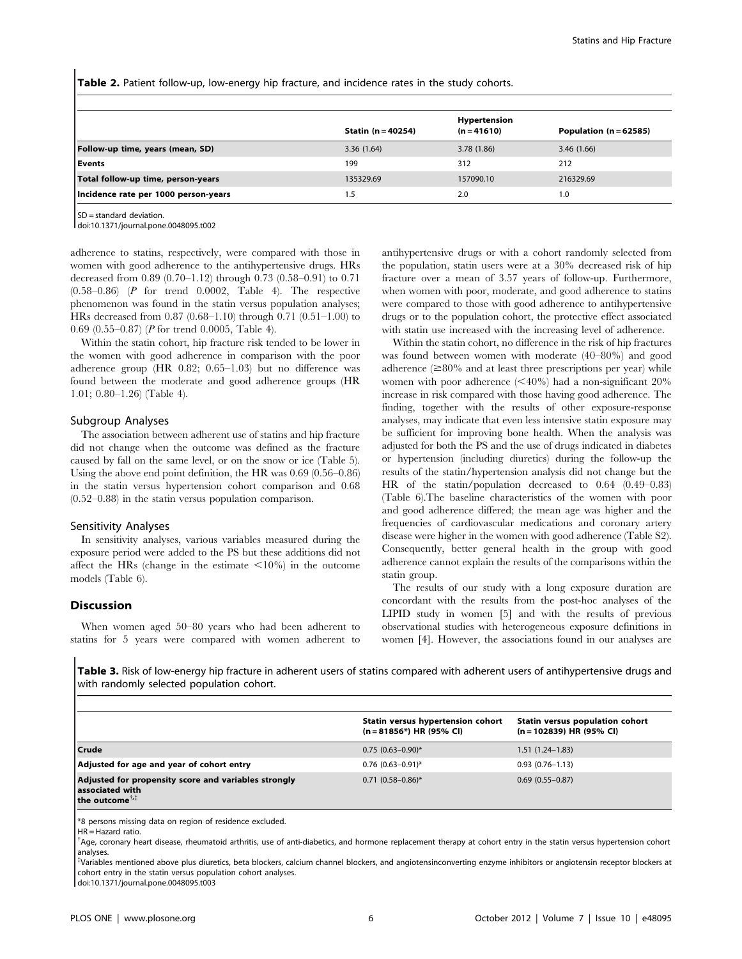Table 2. Patient follow-up, low-energy hip fracture, and incidence rates in the study cohorts.

|                                      | <b>Statin (n = 40254)</b> | Hypertension<br>$(n = 41610)$ | Population $(n = 62585)$ |
|--------------------------------------|---------------------------|-------------------------------|--------------------------|
| Follow-up time, years (mean, SD)     | 3.36(1.64)                | 3.78 (1.86)                   | 3.46(1.66)               |
| l Events                             | 199                       | 312                           | 212                      |
| Total follow-up time, person-years   | 135329.69                 | 157090.10                     | 216329.69                |
| Incidence rate per 1000 person-years | 1.5                       | 2.0                           | 1.0                      |

SD = standard deviation.

doi:10.1371/journal.pone.0048095.t002

adherence to statins, respectively, were compared with those in women with good adherence to the antihypertensive drugs. HRs decreased from 0.89 (0.70–1.12) through 0.73 (0.58–0.91) to 0.71 (0.58–0.86) (P for trend 0.0002, Table 4). The respective phenomenon was found in the statin versus population analyses; HRs decreased from 0.87 (0.68–1.10) through 0.71 (0.51–1.00) to 0.69 (0.55–0.87) (P for trend 0.0005, Table 4).

Within the statin cohort, hip fracture risk tended to be lower in the women with good adherence in comparison with the poor adherence group (HR 0.82; 0.65–1.03) but no difference was found between the moderate and good adherence groups (HR 1.01; 0.80–1.26) (Table 4).

## Subgroup Analyses

The association between adherent use of statins and hip fracture did not change when the outcome was defined as the fracture caused by fall on the same level, or on the snow or ice (Table 5). Using the above end point definition, the HR was 0.69 (0.56–0.86) in the statin versus hypertension cohort comparison and 0.68 (0.52–0.88) in the statin versus population comparison.

#### Sensitivity Analyses

In sensitivity analyses, various variables measured during the exposure period were added to the PS but these additions did not affect the HRs (change in the estimate  $\langle 10\% \rangle$  in the outcome models (Table 6).

## Discussion

When women aged 50–80 years who had been adherent to statins for 5 years were compared with women adherent to antihypertensive drugs or with a cohort randomly selected from the population, statin users were at a 30% decreased risk of hip fracture over a mean of 3.57 years of follow-up. Furthermore, when women with poor, moderate, and good adherence to statins were compared to those with good adherence to antihypertensive drugs or to the population cohort, the protective effect associated with statin use increased with the increasing level of adherence.

Within the statin cohort, no difference in the risk of hip fractures was found between women with moderate (40–80%) and good adherence  $(\geq 80\%$  and at least three prescriptions per year) while women with poor adherence  $\langle \langle 40\% \rangle$  had a non-significant 20% increase in risk compared with those having good adherence. The finding, together with the results of other exposure-response analyses, may indicate that even less intensive statin exposure may be sufficient for improving bone health. When the analysis was adjusted for both the PS and the use of drugs indicated in diabetes or hypertension (including diuretics) during the follow-up the results of the statin/hypertension analysis did not change but the HR of the statin/population decreased to 0.64 (0.49–0.83) (Table 6).The baseline characteristics of the women with poor and good adherence differed; the mean age was higher and the frequencies of cardiovascular medications and coronary artery disease were higher in the women with good adherence (Table S2). Consequently, better general health in the group with good adherence cannot explain the results of the comparisons within the statin group.

The results of our study with a long exposure duration are concordant with the results from the post-hoc analyses of the LIPID study in women [5] and with the results of previous observational studies with heterogeneous exposure definitions in women [4]. However, the associations found in our analyses are

Table 3. Risk of low-energy hip fracture in adherent users of statins compared with adherent users of antihypertensive drugs and with randomly selected population cohort.

|                                                                                                       | Statin versus hypertension cohort<br>$(n = 81856*)$ HR (95% CI) | Statin versus population cohort<br>$(n = 102839)$ HR (95% CI) |
|-------------------------------------------------------------------------------------------------------|-----------------------------------------------------------------|---------------------------------------------------------------|
| Crude                                                                                                 | $0.75$ (0.63-0.90)*                                             | $1.51(1.24-1.83)$                                             |
| Adjusted for age and year of cohort entry                                                             | $0.76$ (0.63-0.91)*                                             | $0.93(0.76 - 1.13)$                                           |
| Adjusted for propensity score and variables strongly<br>associated with<br>the outcome <sup>†,‡</sup> | $0.71$ (0.58-0.86)*                                             | $0.69(0.55 - 0.87)$                                           |

\*8 persons missing data on region of residence excluded.

 $HR = Hazard$  ratio.

{ Age, coronary heart disease, rheumatoid arthritis, use of anti-diabetics, and hormone replacement therapy at cohort entry in the statin versus hypertension cohort analyses.

{ Variables mentioned above plus diuretics, beta blockers, calcium channel blockers, and angiotensinconverting enzyme inhibitors or angiotensin receptor blockers at cohort entry in the statin versus population cohort analyses.

doi:10.1371/journal.pone.0048095.t003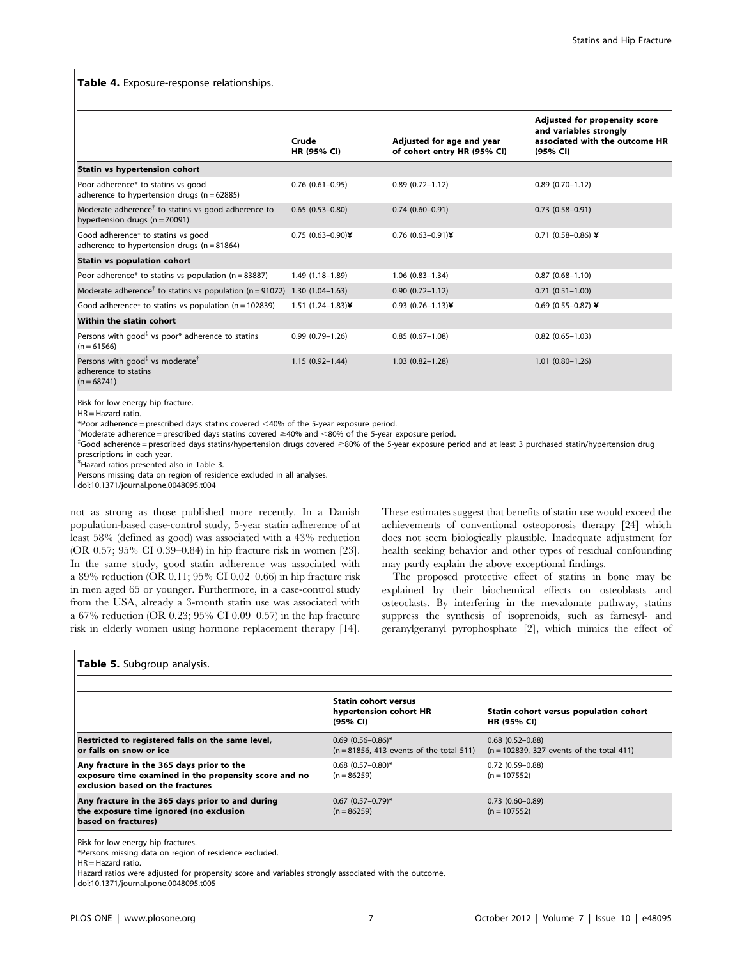## Table 4. Exposure-response relationships.

|                                                                                                       | Crude<br>HR (95% CI)   | Adjusted for age and year<br>of cohort entry HR (95% CI) | Adjusted for propensity score<br>and variables strongly<br>associated with the outcome HR<br>(95% CI) |
|-------------------------------------------------------------------------------------------------------|------------------------|----------------------------------------------------------|-------------------------------------------------------------------------------------------------------|
| Statin vs hypertension cohort                                                                         |                        |                                                          |                                                                                                       |
| Poor adherence* to statins vs good<br>adherence to hypertension drugs ( $n = 62885$ )                 | $0.76$ $(0.61 - 0.95)$ | $0.89(0.72 - 1.12)$                                      | $0.89(0.70 - 1.12)$                                                                                   |
| Moderate adherence <sup>†</sup> to statins vs good adherence to<br>hypertension drugs ( $n = 70091$ ) | $0.65(0.53 - 0.80)$    | $0.74(0.60 - 0.91)$                                      | $0.73(0.58 - 0.91)$                                                                                   |
| Good adherence <sup>‡</sup> to statins vs good<br>adherence to hypertension drugs ( $n = 81864$ )     | $0.75$ (0.63-0.90)¥    | 0.76 (0.63-0.91)¥                                        | 0.71 (0.58-0.86) ¥                                                                                    |
| <b>Statin vs population cohort</b>                                                                    |                        |                                                          |                                                                                                       |
| Poor adherence* to statins vs population ( $n = 83887$ )                                              | $1.49(1.18-1.89)$      | $1.06(0.83 - 1.34)$                                      | $0.87(0.68 - 1.10)$                                                                                   |
| Moderate adherence <sup>†</sup> to statins vs population (n = 91072) 1.30 (1.04–1.63)                 |                        | $0.90(0.72 - 1.12)$                                      | $0.71(0.51-1.00)$                                                                                     |
| Good adherence <sup><math>\ddagger</math></sup> to statins vs population (n = 102839)                 | 1.51 $(1.24 - 1.83)$ ¥ | 0.93 $(0.76 - 1.13)$ ¥                                   | 0.69 (0.55-0.87) ¥                                                                                    |
| Within the statin cohort                                                                              |                        |                                                          |                                                                                                       |
| Persons with good <sup><math>\ddagger</math></sup> vs poor* adherence to statins<br>$(n = 61566)$     | $0.99(0.79 - 1.26)$    | $0.85(0.67 - 1.08)$                                      | $0.82(0.65 - 1.03)$                                                                                   |
| Persons with good <sup>‡</sup> vs moderate <sup>†</sup><br>adherence to statins<br>$(n = 68741)$      | $1.15(0.92 - 1.44)$    | $1.03(0.82 - 1.28)$                                      | $1.01(0.80-1.26)$                                                                                     |

Risk for low-energy hip fracture.

 $HR =$ Hazard ratio.

 $*$ Poor adherence = prescribed days statins covered  $<$ 40% of the 5-year exposure period.

 $\dagger$ Moderate adherence = prescribed days statins covered  $\geq$ 40% and  $<$ 80% of the 5-year exposure period.

\*Good adherence = prescribed days statins/hypertension drugs covered ≥80% of the 5-year exposure period and at least 3 purchased statin/hypertension drug prescriptions in each year.

¥ Hazard ratios presented also in Table 3.

Persons missing data on region of residence excluded in all analyses.

doi:10.1371/journal.pone.0048095.t004

not as strong as those published more recently. In a Danish population-based case-control study, 5-year statin adherence of at least 58% (defined as good) was associated with a 43% reduction (OR 0.57; 95% CI 0.39–0.84) in hip fracture risk in women [23]. In the same study, good statin adherence was associated with a 89% reduction (OR 0.11; 95% CI 0.02–0.66) in hip fracture risk in men aged 65 or younger. Furthermore, in a case-control study from the USA, already a 3-month statin use was associated with a 67% reduction (OR 0.23; 95% CI 0.09–0.57) in the hip fracture risk in elderly women using hormone replacement therapy [14].

#### Table 5. Subgroup analysis.

|                                                                                                                                        | <b>Statin cohort versus</b><br>hypertension cohort HR<br>(95% CI) | Statin cohort versus population cohort<br><b>HR (95% CI)</b>       |
|----------------------------------------------------------------------------------------------------------------------------------------|-------------------------------------------------------------------|--------------------------------------------------------------------|
| Restricted to registered falls on the same level,<br>or falls on snow or ice                                                           | $0.69$ (0.56-0.86)*<br>$(n = 81856, 413$ events of the total 511) | $0.68(0.52 - 0.88)$<br>$(n = 102839, 327$ events of the total 411) |
| Any fracture in the 365 days prior to the<br>exposure time examined in the propensity score and no<br>exclusion based on the fractures | $0.68$ (0.57-0.80)*<br>$(n = 86259)$                              | $0.72(0.59 - 0.88)$<br>$(n = 107552)$                              |
| Any fracture in the 365 days prior to and during<br>the exposure time ignored (no exclusion<br>based on fractures)                     | $0.67$ $(0.57-0.79)$ *<br>$(n = 86259)$                           | $0.73(0.60 - 0.89)$<br>$(n = 107552)$                              |

Risk for low-energy hip fractures.

\*Persons missing data on region of residence excluded.

HR = Hazard ratio.

Hazard ratios were adjusted for propensity score and variables strongly associated with the outcome.

doi:10.1371/journal.pone.0048095.t005

These estimates suggest that benefits of statin use would exceed the achievements of conventional osteoporosis therapy [24] which does not seem biologically plausible. Inadequate adjustment for health seeking behavior and other types of residual confounding

The proposed protective effect of statins in bone may be explained by their biochemical effects on osteoblasts and osteoclasts. By interfering in the mevalonate pathway, statins suppress the synthesis of isoprenoids, such as farnesyl- and geranylgeranyl pyrophosphate [2], which mimics the effect of

may partly explain the above exceptional findings.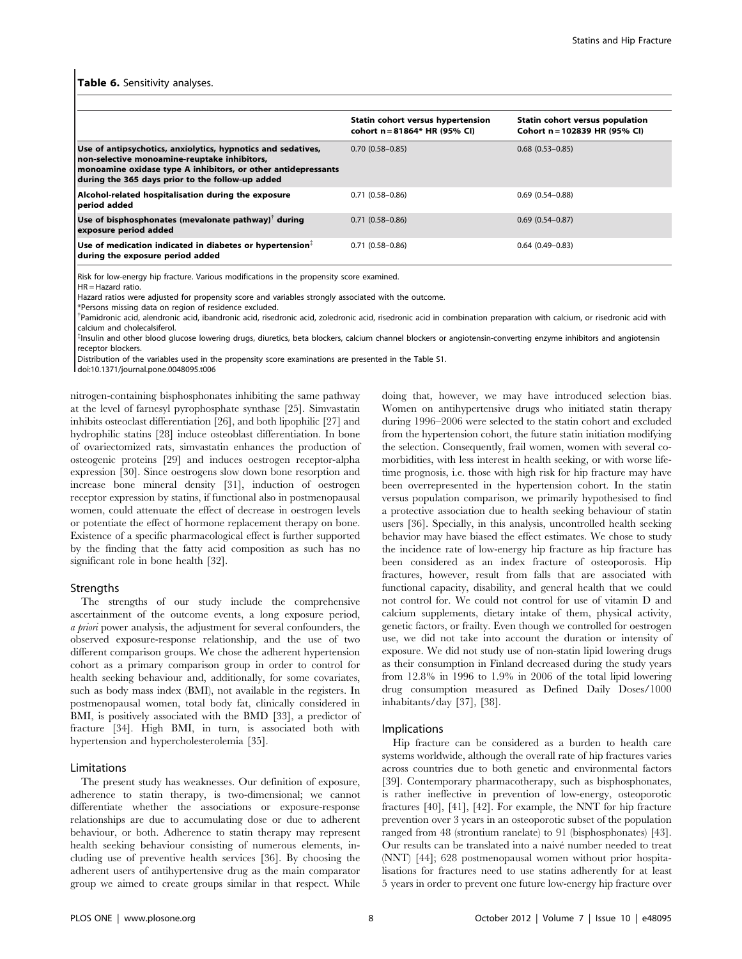#### Table 6. Sensitivity analyses.

|                                                                                                                                                                                                                                   | Statin cohort versus hypertension<br>cohort n = 81864* HR (95% CI) | Statin cohort versus population<br>Cohort n = 102839 HR (95% CI) |
|-----------------------------------------------------------------------------------------------------------------------------------------------------------------------------------------------------------------------------------|--------------------------------------------------------------------|------------------------------------------------------------------|
| Use of antipsychotics, anxiolytics, hypnotics and sedatives,<br>non-selective monoamine-reuptake inhibitors,<br>monoamine oxidase type A inhibitors, or other antidepressants<br>during the 365 days prior to the follow-up added | $0.70(0.58 - 0.85)$                                                | $0.68$ $(0.53 - 0.85)$                                           |
| Alcohol-related hospitalisation during the exposure<br>period added                                                                                                                                                               | $0.71(0.58 - 0.86)$                                                | $0.69(0.54 - 0.88)$                                              |
| Use of bisphosphonates (mevalonate pathway) $\mathbf{r}$ during<br>exposure period added                                                                                                                                          | $0.71(0.58 - 0.86)$                                                | $0.69(0.54 - 0.87)$                                              |
| Use of medication indicated in diabetes or hypertension $\frac{1}{2}$<br>during the exposure period added                                                                                                                         | $0.71(0.58 - 0.86)$                                                | $0.64(0.49 - 0.83)$                                              |

Risk for low-energy hip fracture. Various modifications in the propensity score examined.

HR = Hazard ratio.

Hazard ratios were adjusted for propensity score and variables strongly associated with the outcome.

\*Persons missing data on region of residence excluded.

<sup>†</sup>Pamidronic acid, alendronic acid, ibandronic acid, risedronic acid, zoledronic acid in admination preparation with calcium, or risedronic acid with calcium and cholecalsiferol.

{ Insulin and other blood glucose lowering drugs, diuretics, beta blockers, calcium channel blockers or angiotensin-converting enzyme inhibitors and angiotensin receptor blockers.

Distribution of the variables used in the propensity score examinations are presented in the Table S1.

doi:10.1371/journal.pone.0048095.t006

nitrogen-containing bisphosphonates inhibiting the same pathway at the level of farnesyl pyrophosphate synthase [25]. Simvastatin inhibits osteoclast differentiation [26], and both lipophilic [27] and hydrophilic statins [28] induce osteoblast differentiation. In bone of ovariectomized rats, simvastatin enhances the production of osteogenic proteins [29] and induces oestrogen receptor-alpha expression [30]. Since oestrogens slow down bone resorption and increase bone mineral density [31], induction of oestrogen receptor expression by statins, if functional also in postmenopausal women, could attenuate the effect of decrease in oestrogen levels or potentiate the effect of hormone replacement therapy on bone. Existence of a specific pharmacological effect is further supported by the finding that the fatty acid composition as such has no significant role in bone health [32].

#### **Strengths**

The strengths of our study include the comprehensive ascertainment of the outcome events, a long exposure period, a priori power analysis, the adjustment for several confounders, the observed exposure-response relationship, and the use of two different comparison groups. We chose the adherent hypertension cohort as a primary comparison group in order to control for health seeking behaviour and, additionally, for some covariates, such as body mass index (BMI), not available in the registers. In postmenopausal women, total body fat, clinically considered in BMI, is positively associated with the BMD [33], a predictor of fracture [34]. High BMI, in turn, is associated both with hypertension and hypercholesterolemia [35].

## Limitations

The present study has weaknesses. Our definition of exposure, adherence to statin therapy, is two-dimensional; we cannot differentiate whether the associations or exposure-response relationships are due to accumulating dose or due to adherent behaviour, or both. Adherence to statin therapy may represent health seeking behaviour consisting of numerous elements, including use of preventive health services [36]. By choosing the adherent users of antihypertensive drug as the main comparator group we aimed to create groups similar in that respect. While doing that, however, we may have introduced selection bias. Women on antihypertensive drugs who initiated statin therapy during 1996–2006 were selected to the statin cohort and excluded from the hypertension cohort, the future statin initiation modifying the selection. Consequently, frail women, women with several comorbidities, with less interest in health seeking, or with worse lifetime prognosis, i.e. those with high risk for hip fracture may have been overrepresented in the hypertension cohort. In the statin versus population comparison, we primarily hypothesised to find a protective association due to health seeking behaviour of statin users [36]. Specially, in this analysis, uncontrolled health seeking behavior may have biased the effect estimates. We chose to study the incidence rate of low-energy hip fracture as hip fracture has been considered as an index fracture of osteoporosis. Hip fractures, however, result from falls that are associated with functional capacity, disability, and general health that we could not control for. We could not control for use of vitamin D and calcium supplements, dietary intake of them, physical activity, genetic factors, or frailty. Even though we controlled for oestrogen use, we did not take into account the duration or intensity of exposure. We did not study use of non-statin lipid lowering drugs as their consumption in Finland decreased during the study years from 12.8% in 1996 to 1.9% in 2006 of the total lipid lowering drug consumption measured as Defined Daily Doses/1000 inhabitants/day [37], [38].

#### Implications

Hip fracture can be considered as a burden to health care systems worldwide, although the overall rate of hip fractures varies across countries due to both genetic and environmental factors [39]. Contemporary pharmacotherapy, such as bisphosphonates, is rather ineffective in prevention of low-energy, osteoporotic fractures [40], [41], [42]. For example, the NNT for hip fracture prevention over 3 years in an osteoporotic subset of the population ranged from 48 (strontium ranelate) to 91 (bisphosphonates) [43]. Our results can be translated into a naivé number needed to treat (NNT) [44]; 628 postmenopausal women without prior hospitalisations for fractures need to use statins adherently for at least 5 years in order to prevent one future low-energy hip fracture over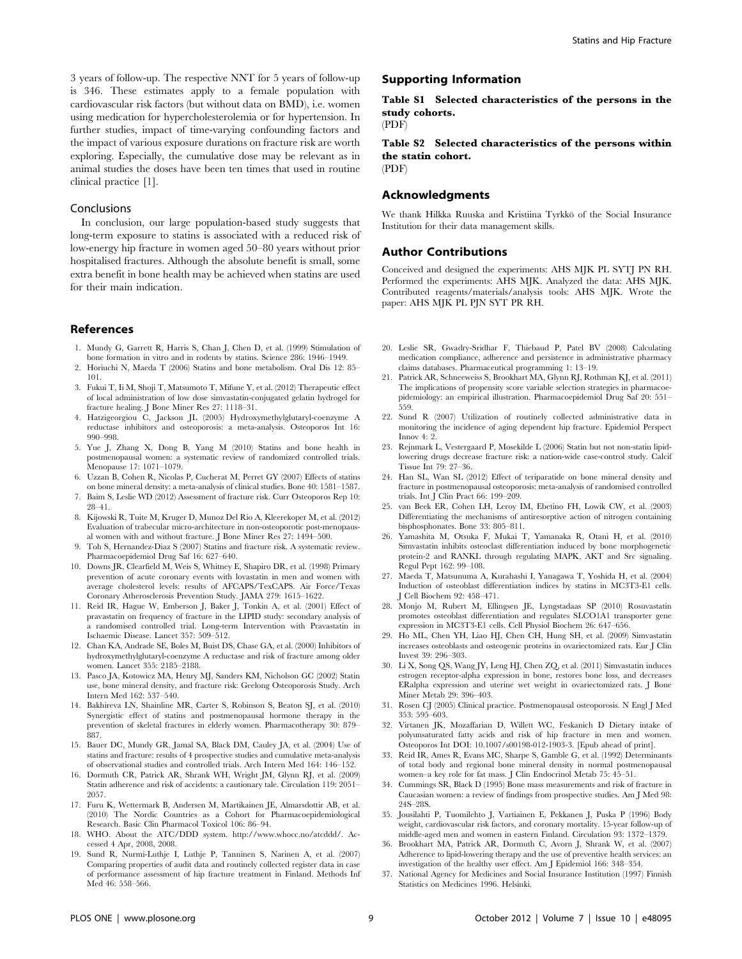3 years of follow-up. The respective NNT for 5 years of follow-up is 346. These estimates apply to a female population with cardiovascular risk factors (but without data on BMD), i.e. women using medication for hypercholesterolemia or for hypertension. In further studies, impact of time-varying confounding factors and the impact of various exposure durations on fracture risk are worth exploring. Especially, the cumulative dose may be relevant as in animal studies the doses have been ten times that used in routine clinical practice [1].

#### **Conclusions**

In conclusion, our large population-based study suggests that long-term exposure to statins is associated with a reduced risk of low-energy hip fracture in women aged 50–80 years without prior hospitalised fractures. Although the absolute benefit is small, some extra benefit in bone health may be achieved when statins are used for their main indication.

## References

- 1. Mundy G, Garrett R, Harris S, Chan J, Chen D, et al. (1999) Stimulation of bone formation in vitro and in rodents by statins. Science 286: 1946–1949.
- 2. Horiuchi N, Maeda T (2006) Statins and bone metabolism. Oral Dis 12: 85– 101.
- 3. Fukui T, Ii M, Shoji T, Matsumoto T, Mifune Y, et al. (2012) Therapeutic effect of local administration of low dose simvastatin-conjugated gelatin hydrogel for fracture healing. J Bone Miner Res 27: 1118–31.
- 4. Hatzigeorgiou C, Jackson JL (2005) Hydroxymethylglutaryl-coenzyme A reductase inhibitors and osteoporosis: a meta-analysis. Osteoporos Int 16: 990–998.
- 5. Yue J, Zhang X, Dong B, Yang M (2010) Statins and bone health in postmenopausal women: a systematic review of randomized controlled trials. Menopause 17: 1071–1079.
- 6. Uzzan B, Cohen R, Nicolas P, Cucherat M, Perret GY (2007) Effects of statins on bone mineral density: a meta-analysis of clinical studies. Bone 40: 1581–1587.
- 7. Baim S, Leslie WD (2012) Assessment of fracture risk. Curr Osteoporos Rep 10: 28–41.
- 8. Kijowski R, Tuite M, Kruger D, Munoz Del Rio A, Kleerekoper M, et al. (2012) Evaluation of trabecular micro-architecture in non-osteoporotic post-menopausal women with and without fracture. J Bone Miner Res 27: 1494–500.
- 9. Toh S, Hernandez-Diaz S (2007) Statins and fracture risk. A systematic review. Pharmacoepidemiol Drug Saf 16: 627–640.
- 10. Downs JR, Clearfield M, Weis S, Whitney E, Shapiro DR, et al. (1998) Primary prevention of acute coronary events with lovastatin in men and women with average cholesterol levels: results of AFCAPS/TexCAPS. Air Force/Texas Coronary Atherosclerosis Prevention Study. JAMA 279: 1615–1622.
- 11. Reid IR, Hague W, Emberson J, Baker J, Tonkin A, et al. (2001) Effect of pravastatin on frequency of fracture in the LIPID study: secondary analysis of a randomised controlled trial. Long-term Intervention with Pravastatin in Ischaemic Disease. Lancet 357: 509–512.
- 12. Chan KA, Andrade SE, Boles M, Buist DS, Chase GA, et al. (2000) Inhibitors of hydroxymethylglutaryl-coenzyme A reductase and risk of fracture among older women. Lancet 355: 2185–2188.
- 13. Pasco JA, Kotowicz MA, Henry MJ, Sanders KM, Nicholson GC (2002) Statin use, bone mineral density, and fracture risk: Geelong Osteoporosis Study. Arch Intern Med 162: 537–540.
- 14. Bakhireva LN, Shainline MR, Carter S, Robinson S, Beaton SJ, et al. (2010) Synergistic effect of statins and postmenopausal hormone therapy in the prevention of skeletal fractures in elderly women. Pharmacotherapy 30: 879– 887.
- 15. Bauer DC, Mundy GR, Jamal SA, Black DM, Cauley JA, et al. (2004) Use of statins and fracture: results of 4 prospective studies and cumulative meta-analysis of observational studies and controlled trials. Arch Intern Med 164: 146–152.
- 16. Dormuth CR, Patrick AR, Shrank WH, Wright JM, Glynn RJ, et al. (2009) Statin adherence and risk of accidents: a cautionary tale. Circulation 119: 2051– 2057.
- 17. Furu K, Wettermark B, Andersen M, Martikainen JE, Almarsdottir AB, et al. (2010) The Nordic Countries as a Cohort for Pharmacoepidemiological Research. Basic Clin Pharmacol Toxicol 106: 86–94.
- 18. WHO. About the ATC/DDD system. http://www.whocc.no/atcddd/. Accessed 4 Apr, 2008, 2008.
- 19. Sund R, Nurmi-Luthje I, Luthje P, Tanninen S, Narinen A, et al. (2007) Comparing properties of audit data and routinely collected register data in case of performance assessment of hip fracture treatment in Finland. Methods Inf Med 46: 558–566.

# Supporting Information

Table S1 Selected characteristics of the persons in the study cohorts.

(PDF)

Table S2 Selected characteristics of the persons within the statin cohort. (PDF)

# Acknowledgments

We thank Hilkka Ruuska and Kristiina Tyrkkö of the Social Insurance Institution for their data management skills.

## Author Contributions

Conceived and designed the experiments: AHS MJK PL SYTJ PN RH. Performed the experiments: AHS MJK. Analyzed the data: AHS MJK. Contributed reagents/materials/analysis tools: AHS MJK. Wrote the paper: AHS MJK PL PJN SYT PR RH.

- 20. Leslie SR, Gwadry-Sridhar F, Thiebaud P, Patel BV (2008) Calculating medication compliance, adherence and persistence in administrative pharmacy claims databases. Pharmaceutical programming 1: 13–19.
- 21. Patrick AR, Schneeweiss S, Brookhart MA, Glynn RJ, Rothman KJ, et al. (2011) The implications of propensity score variable selection strategies in pharmacoepidemiology: an empirical illustration. Pharmacoepidemiol Drug Saf 20: 551– 559.
- 22. Sund R (2007) Utilization of routinely collected administrative data in monitoring the incidence of aging dependent hip fracture. Epidemiol Perspect Innov 4: 2.
- 23. Rejnmark L, Vestergaard P, Mosekilde L (2006) Statin but not non-statin lipidlowering drugs decrease fracture risk: a nation-wide case-control study. Calcif Tissue Int 79: 27–36.
- 24. Han SL, Wan SL (2012) Effect of teriparatide on bone mineral density and fracture in postmenopausal osteoporosis: meta-analysis of randomised controlled trials. Int J Clin Pract 66: 199–209.
- 25. van Beek ER, Cohen LH, Leroy IM, Ebetino FH, Lowik CW, et al. (2003) Differentiating the mechanisms of antiresorptive action of nitrogen containing bisphosphonates. Bone 33: 805–811.
- 26. Yamashita M, Otsuka F, Mukai T, Yamanaka R, Otani H, et al. (2010) Simvastatin inhibits osteoclast differentiation induced by bone morphogenetic protein-2 and RANKL through regulating MAPK, AKT and Src signaling. Regul Pept 162: 99–108.
- 27. Maeda T, Matsunuma A, Kurahashi I, Yanagawa T, Yoshida H, et al. (2004) Induction of osteoblast differentiation indices by statins in MC3T3-E1 cells. J Cell Biochem 92: 458–471.
- 28. Monjo M, Rubert M, Ellingsen JE, Lyngstadaas SP (2010) Rosuvastatin promotes osteoblast differentiation and regulates SLCO1A1 transporter gene expression in MC3T3-E1 cells. Cell Physiol Biochem 26: 647–656.
- 29. Ho ML, Chen YH, Liao HJ, Chen CH, Hung SH, et al. (2009) Simvastatin increases osteoblasts and osteogenic proteins in ovariectomized rats. Eur J Clin Invest 39: 296–303.
- 30. Li X, Song QS, Wang JY, Leng HJ, Chen ZQ, et al. (2011) Simvastatin induces estrogen receptor-alpha expression in bone, restores bone loss, and decreases ERalpha expression and uterine wet weight in ovariectomized rats. J Bone Miner Metab 29: 396–403.
- 31. Rosen CJ (2005) Clinical practice. Postmenopausal osteoporosis. N Engl J Med 353: 595–603.
- 32. Virtanen JK, Mozaffarian D, Willett WC, Feskanich D Dietary intake of polyunsaturated fatty acids and risk of hip fracture in men and women. Osteoporos Int DOI: 10.1007/s00198-012-1903-3. [Epub ahead of print].
- 33. Reid IR, Ames R, Evans MC, Sharpe S, Gamble G, et al. (1992) Determinants of total body and regional bone mineral density in normal postmenopausal women–a key role for fat mass. J Clin Endocrinol Metab 75: 45–51.
- 34. Cummings SR, Black D (1995) Bone mass measurements and risk of fracture in Caucasian women: a review of findings from prospective studies. Am J Med 98: 24S–28S.
- 35. Jousilahti P, Tuomilehto J, Vartiainen E, Pekkanen J, Puska P (1996) Body weight, cardiovascular risk factors, and coronary mortality. 15-year follow-up of middle-aged men and women in eastern Finland. Circulation 93: 1372–1379.
- 36. Brookhart MA, Patrick AR, Dormuth C, Avorn J, Shrank W, et al. (2007) Adherence to lipid-lowering therapy and the use of preventive health services: an investigation of the healthy user effect. Am J Epidemiol 166: 348–354.
- 37. National Agency for Medicines and Social Insurance Institution (1997) Finnish Statistics on Medicines 1996. Helsinki.